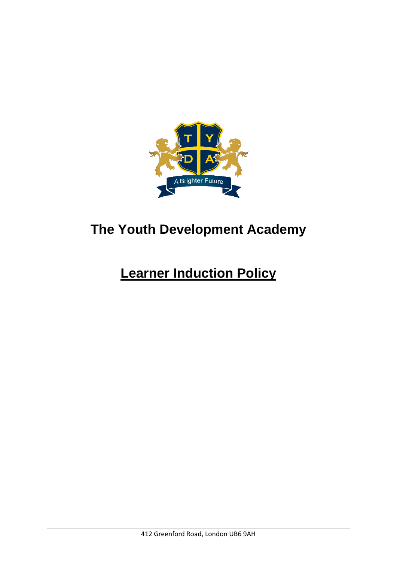

## **The Youth Development Academy**

# **Learner Induction Policy**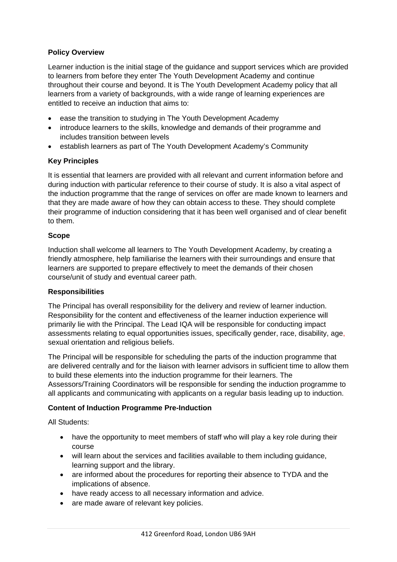### **Policy Overview**

Learner induction is the initial stage of the guidance and support services which are provided to learners from before they enter The Youth Development Academy and continue throughout their course and beyond. It is The Youth Development Academy policy that all learners from a variety of backgrounds, with a wide range of learning experiences are entitled to receive an induction that aims to:

- ease the transition to studying in The Youth Development Academy
- introduce learners to the skills, knowledge and demands of their programme and includes transition between levels
- establish learners as part of The Youth Development Academy's Community

#### **Key Principles**

It is essential that learners are provided with all relevant and current information before and during induction with particular reference to their course of study. It is also a vital aspect of the induction programme that the range of services on offer are made known to learners and that they are made aware of how they can obtain access to these. They should complete their programme of induction considering that it has been well organised and of clear benefit to them.

#### **Scope**

Induction shall welcome all learners to The Youth Development Academy, by creating a friendly atmosphere, help familiarise the learners with their surroundings and ensure that learners are supported to prepare effectively to meet the demands of their chosen course/unit of study and eventual career path.

#### **Responsibilities**

The Principal has overall responsibility for the delivery and review of learner induction. Responsibility for the content and effectiveness of the learner induction experience will primarily lie with the Principal. The Lead IQA will be responsible for conducting impact assessments relating to equal opportunities issues, specifically gender, race, disability, age, sexual orientation and religious beliefs.

The Principal will be responsible for scheduling the parts of the induction programme that are delivered centrally and for the liaison with learner advisors in sufficient time to allow them to build these elements into the induction programme for their learners. The Assessors/Training Coordinators will be responsible for sending the induction programme to all applicants and communicating with applicants on a regular basis leading up to induction.

#### **Content of Induction Programme Pre-Induction**

All Students:

- have the opportunity to meet members of staff who will play a key role during their course
- will learn about the services and facilities available to them including guidance, learning support and the library.
- are informed about the procedures for reporting their absence to TYDA and the implications of absence.
- have ready access to all necessary information and advice.
- are made aware of relevant key policies.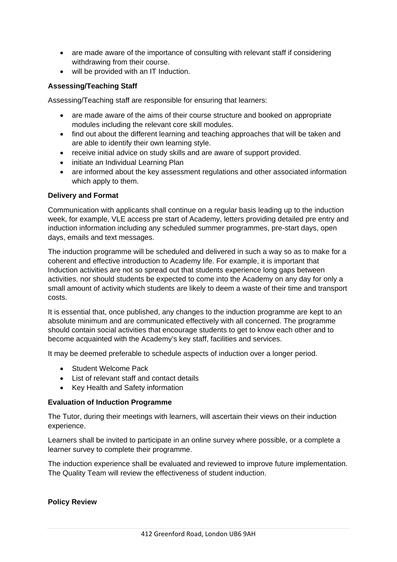- are made aware of the importance of consulting with relevant staff if considering withdrawing from their course.
- will be provided with an IT Induction.

## **Assessing/Teaching Staff**

Assessing/Teaching staff are responsible for ensuring that learners:

- are made aware of the aims of their course structure and booked on appropriate modules including the relevant core skill modules.
- find out about the different learning and teaching approaches that will be taken and are able to identify their own learning style.
- receive initial advice on study skills and are aware of support provided.
- initiate an Individual Learning Plan
- are informed about the key assessment regulations and other associated information which apply to them.

#### **Delivery and Format**

Communication with applicants shall continue on a regular basis leading up to the induction week, for example, VLE access pre start of Academy, letters providing detailed pre entry and induction information including any scheduled summer programmes, pre-start days, open days, emails and text messages.

The induction programme will be scheduled and delivered in such a way so as to make for a coherent and effective introduction to Academy life. For example, it is important that Induction activities are not so spread out that students experience long gaps between activities, nor should students be expected to come into the Academy on any day for only a small amount of activity which students are likely to deem a waste of their time and transport costs.

It is essential that, once published, any changes to the induction programme are kept to an absolute minimum and are communicated effectively with all concerned. The programme should contain social activities that encourage students to get to know each other and to become acquainted with the Academy's key staff, facilities and services.

It may be deemed preferable to schedule aspects of induction over a longer period.

- Student Welcome Pack
- List of relevant staff and contact details
- Key Health and Safety information

#### **Evaluation of Induction Programme**

The Tutor, during their meetings with learners, will ascertain their views on their induction experience.

Learners shall be invited to participate in an online survey where possible, or a complete a learner survey to complete their programme.

The induction experience shall be evaluated and reviewed to improve future implementation. The Quality Team will review the effectiveness of student induction.

#### **Policy Review**